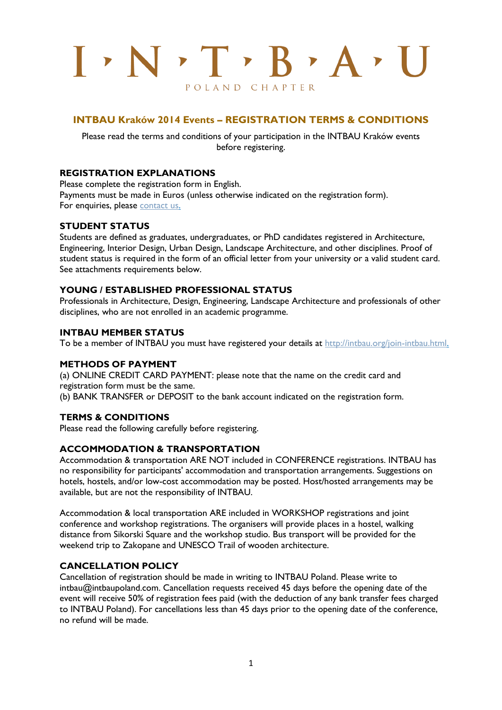# $I: N \cdot T \cdot B \cdot A$ POLAND CHAPTER

# **INTBAU Kraków 2014 Events – REGISTRATION TERMS & CONDITIONS**

Please read the terms and conditions of your participation in the INTBAU Kraków events before registering.

#### **REGISTRATION EXPLANATIONS**

Please complete the registration form in English. Payments must be made in Euros (unless otherwise indicated on the registration form). For enquiries, please [contact us.](mailto:intbau@intbaupoland.com)

#### **STUDENT STATUS**

Students are defined as graduates, undergraduates, or PhD candidates registered in Architecture, Engineering, Interior Design, Urban Design, Landscape Architecture, and other disciplines. Proof of student status is required in the form of an official letter from your university or a valid student card. See attachments requirements below.

## **YOUNG / ESTABLISHED PROFESSIONAL STATUS**

Professionals in Architecture, Design, Engineering, Landscape Architecture and professionals of other disciplines, who are not enrolled in an academic programme.

#### **INTBAU MEMBER STATUS**

To be a member of INTBAU you must have registered your details at [http://intbau.org/join-intbau.html.](http://intbau.org/join-intbau.html)

#### **METHODS OF PAYMENT**

(a) ONLINE CREDIT CARD PAYMENT: please note that the name on the credit card and registration form must be the same. (b) BANK TRANSFER or DEPOSIT to the bank account indicated on the registration form.

## **TERMS & CONDITIONS**

Please read the following carefully before registering.

#### **ACCOMMODATION & TRANSPORTATION**

Accommodation & transportation ARE NOT included in CONFERENCE registrations. INTBAU has no responsibility for participants' accommodation and transportation arrangements. Suggestions on hotels, hostels, and/or low-cost accommodation may be posted. Host/hosted arrangements may be available, but are not the responsibility of INTBAU.

Accommodation & local transportation ARE included in WORKSHOP registrations and joint conference and workshop registrations. The organisers will provide places in a hostel, walking distance from Sikorski Square and the workshop studio. Bus transport will be provided for the weekend trip to Zakopane and UNESCO Trail of wooden architecture.

#### **CANCELLATION POLICY**

Cancellation of registration should be made in writing to INTBAU Poland. Please write to [intbau@intbaupoland.com.](mailto:intbau@intbaupoland.com) Cancellation requests received 45 days before the opening date of the event will receive 50% of registration fees paid (with the deduction of any bank transfer fees charged to INTBAU Poland). For cancellations less than 45 days prior to the opening date of the conference, no refund will be made.